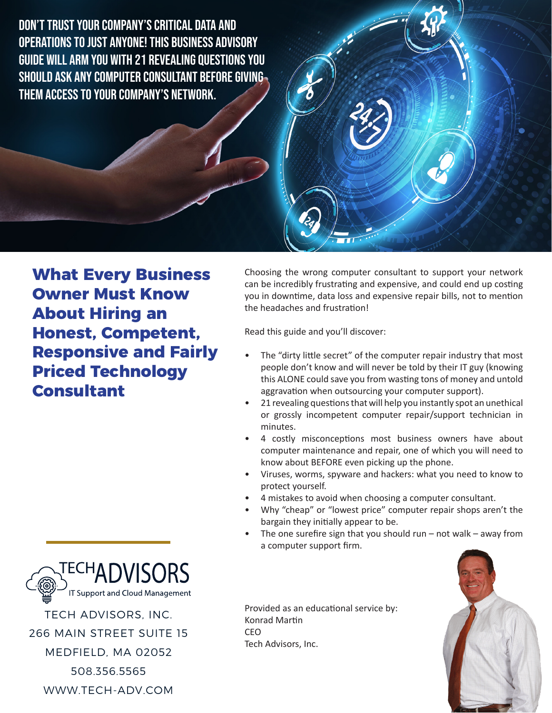Don't Trust Your Company's Critical Data and OPERATIONS TO JUST ANYONE! THIS BUSINESS ADVISORY Guide Will Arm You with 21 Revealing Questions You Should Ask Any Computer Consultant Before Giving Them Access to Your Company's Network.



**What Every Business Owner Must Know About Hiring an Honest, Competent, Responsive and Fairly Priced Technology Consultant**

Choosing the wrong computer consultant to support your network can be incredibly frustrating and expensive, and could end up costing you in downtime, data loss and expensive repair bills, not to mention the headaches and frustration!

Read this guide and you'll discover:

- The "dirty little secret" of the computer repair industry that most people don't know and will never be told by their IT guy (knowing this ALONE could save you from wasting tons of money and untold aggravation when outsourcing your computer support).
- 21 revealing questions that will help you instantly spot an unethical or grossly incompetent computer repair/support technician in minutes.
- 4 costly misconceptions most business owners have about computer maintenance and repair, one of which you will need to know about BEFORE even picking up the phone.
- Viruses, worms, spyware and hackers: what you need to know to protect yourself.
- 4 mistakes to avoid when choosing a computer consultant.
- Why "cheap" or "lowest price" computer repair shops aren't the bargain they initially appear to be.
- The one surefire sign that you should run not walk away from a computer support firm.







508.356.5565

WWW.TECH-ADV.COM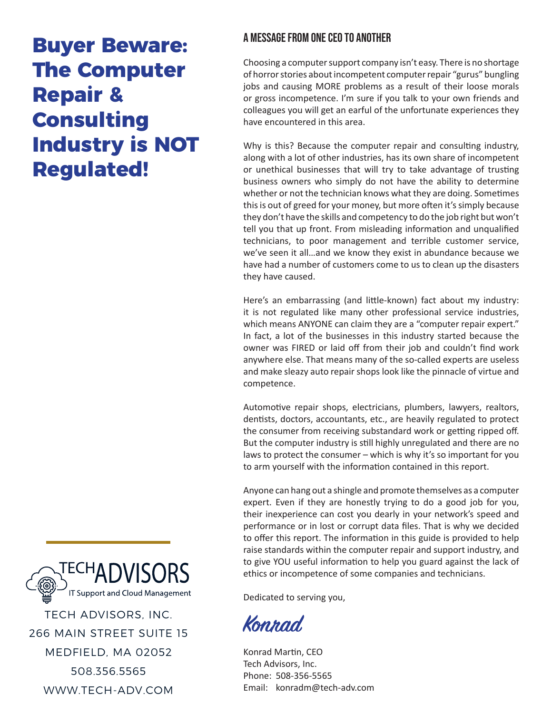## **Buyer Beware: The Computer Repair & Consulting Industry is NOT Regulated!**

### A MESSAGE FROM ONE CEO TO ANOTHER

Choosing a computer support company isn't easy. There is no shortage of horror stories about incompetent computer repair "gurus" bungling jobs and causing MORE problems as a result of their loose morals or gross incompetence. I'm sure if you talk to your own friends and colleagues you will get an earful of the unfortunate experiences they have encountered in this area.

Why is this? Because the computer repair and consulting industry, along with a lot of other industries, has its own share of incompetent or unethical businesses that will try to take advantage of trusting business owners who simply do not have the ability to determine whether or not the technician knows what they are doing. Sometimes this is out of greed for your money, but more often it's simply because they don't have the skills and competency to do the job right but won't tell you that up front. From misleading information and unqualified technicians, to poor management and terrible customer service, we've seen it all…and we know they exist in abundance because we have had a number of customers come to us to clean up the disasters they have caused.

Here's an embarrassing (and little-known) fact about my industry: it is not regulated like many other professional service industries, which means ANYONE can claim they are a "computer repair expert." In fact, a lot of the businesses in this industry started because the owner was FIRED or laid off from their job and couldn't find work anywhere else. That means many of the so-called experts are useless and make sleazy auto repair shops look like the pinnacle of virtue and competence.

Automotive repair shops, electricians, plumbers, lawyers, realtors, dentists, doctors, accountants, etc., are heavily regulated to protect the consumer from receiving substandard work or getting ripped off. But the computer industry is still highly unregulated and there are no laws to protect the consumer – which is why it's so important for you to arm yourself with the information contained in this report.

Anyone can hang out a shingle and promote themselves as a computer expert. Even if they are honestly trying to do a good job for you, their inexperience can cost you dearly in your network's speed and performance or in lost or corrupt data files. That is why we decided to offer this report. The information in this guide is provided to help raise standards within the computer repair and support industry, and to give YOU useful information to help you guard against the lack of ethics or incompetence of some companies and technicians.

Dedicated to serving you,

**Konrad**

Konrad Martin, CEO Tech Advisors, Inc. Phone: 508-356-5565 Email: konradm@tech-adv.com



WWW.TECH-ADV.COM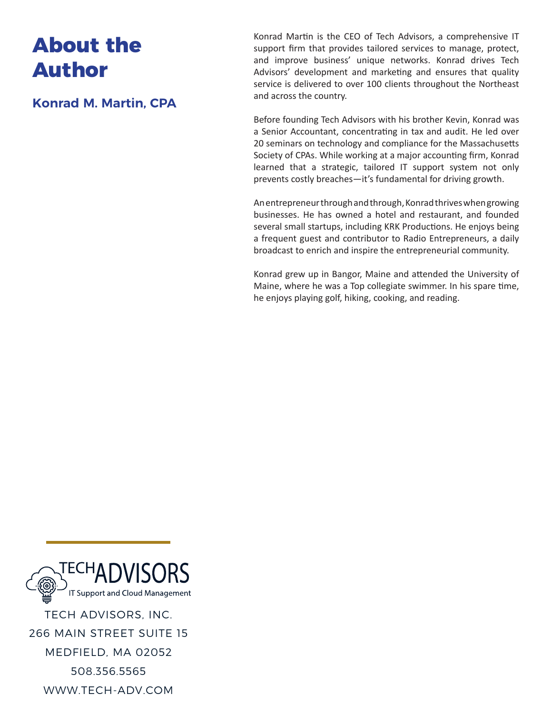### **About the Author**

**Konrad M. Martin, CPA**

Konrad Martin is the CEO of Tech Advisors, a comprehensive IT support firm that provides tailored services to manage, protect, and improve business' unique networks. Konrad drives Tech Advisors' development and marketing and ensures that quality service is delivered to over 100 clients throughout the Northeast and across the country.

Before founding Tech Advisors with his brother Kevin, Konrad was a Senior Accountant, concentrating in tax and audit. He led over 20 seminars on technology and compliance for the Massachusetts Society of CPAs. While working at a major accounting firm, Konrad learned that a strategic, tailored IT support system not only prevents costly breaches—it's fundamental for driving growth.

An entrepreneur through and through, Konrad thrives when growing businesses. He has owned a hotel and restaurant, and founded several small startups, including KRK Productions. He enjoys being a frequent guest and contributor to Radio Entrepreneurs, a daily broadcast to enrich and inspire the entrepreneurial community.

Konrad grew up in Bangor, Maine and attended the University of Maine, where he was a Top collegiate swimmer. In his spare time, he enjoys playing golf, hiking, cooking, and reading.

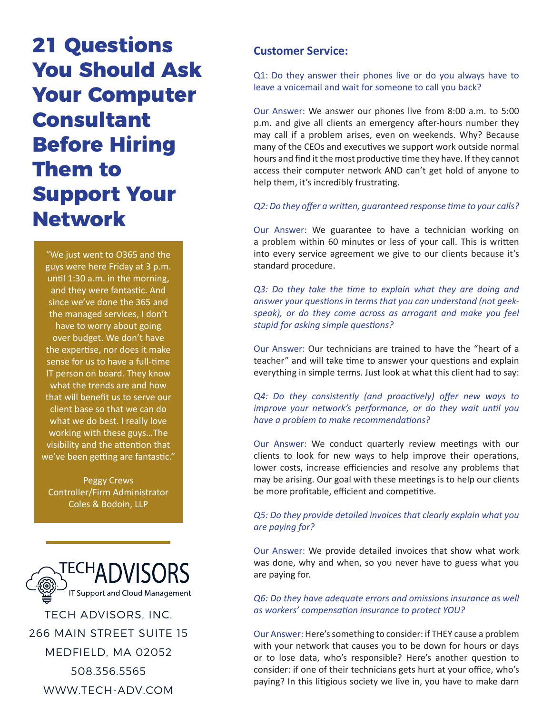# **21 Questions You Should Ask Your Computer Consultant Before Hiring Them to Support Your Network**

"We just went to O365 and the guys were here Friday at 3 p.m. until 1:30 a.m. in the morning, and they were fantastic. And since we've done the 365 and the managed services, I don't have to worry about going over budget. We don't have the expertise, nor does it make sense for us to have a full-time IT person on board. They know what the trends are and how that will benefit us to serve our client base so that we can do what we do best. I really love working with these guys…The visibility and the attention that we've been getting are fantastic."

Peggy Crews Controller/Firm Administrator Coles & Bodoin, LLP



508.356.5565

WWW.TECH-ADV.COM

### **Customer Service:**

Q1: Do they answer their phones live or do you always have to leave a voicemail and wait for someone to call you back?

Our Answer: We answer our phones live from 8:00 a.m. to 5:00 p.m. and give all clients an emergency after-hours number they may call if a problem arises, even on weekends. Why? Because many of the CEOs and executives we support work outside normal hours and find it the most productive time they have. If they cannot access their computer network AND can't get hold of anyone to help them, it's incredibly frustrating.

#### *Q2: Do they offer a written, guaranteed response time to your calls?*

Our Answer: We guarantee to have a technician working on a problem within 60 minutes or less of your call. This is written into every service agreement we give to our clients because it's standard procedure.

*Q3: Do they take the time to explain what they are doing and answer your questions in terms that you can understand (not geekspeak), or do they come across as arrogant and make you feel stupid for asking simple questions?*

Our Answer: Our technicians are trained to have the "heart of a teacher" and will take time to answer your questions and explain everything in simple terms. Just look at what this client had to say:

*Q4: Do they consistently (and proactively) offer new ways to improve your network's performance, or do they wait until you have a problem to make recommendations?*

Our Answer: We conduct quarterly review meetings with our clients to look for new ways to help improve their operations, lower costs, increase efficiencies and resolve any problems that may be arising. Our goal with these meetings is to help our clients be more profitable, efficient and competitive.

#### *Q5: Do they provide detailed invoices that clearly explain what you are paying for?*

Our Answer: We provide detailed invoices that show what work was done, why and when, so you never have to guess what you are paying for.

**Q6: Do they have adequate errors and omissions insurance as well** *as workers' compensation insurance to protect YOU?*

Our Answer: Here's something to consider: if THEY cause a problem with your network that causes you to be down for hours or days or to lose data, who's responsible? Here's another question to consider: if one of their technicians gets hurt at your office, who's paying? In this litigious society we live in, you have to make darn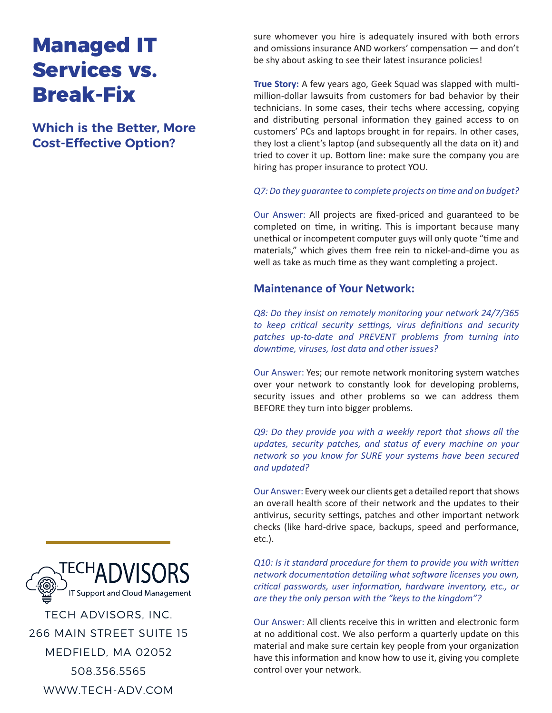## **Managed IT Services vs. Break-Fix**

**Which is the Better, More Cost-Effective Option?**

sure whomever you hire is adequately insured with both errors and omissions insurance AND workers' compensation — and don't be shy about asking to see their latest insurance policies!

**True Story:** A few years ago, Geek Squad was slapped with multimillion-dollar lawsuits from customers for bad behavior by their technicians. In some cases, their techs where accessing, copying and distributing personal information they gained access to on customers' PCs and laptops brought in for repairs. In other cases, they lost a client's laptop (and subsequently all the data on it) and tried to cover it up. Bottom line: make sure the company you are hiring has proper insurance to protect YOU.

#### *Q7: Do they guarantee to complete projects on time and on budget?*

Our Answer: All projects are fixed-priced and guaranteed to be completed on time, in writing. This is important because many unethical or incompetent computer guys will only quote "time and materials," which gives them free rein to nickel-and-dime you as well as take as much time as they want completing a project.

### **Maintenance of Your Network:**

*Q8: Do they insist on remotely monitoring your network 24/7/365 to keep critical security settings, virus definitions and security patches up-to-date and PREVENT problems from turning into downtime, viruses, lost data and other issues?*

Our Answer: Yes; our remote network monitoring system watches over your network to constantly look for developing problems, security issues and other problems so we can address them BEFORE they turn into bigger problems.

*Q9: Do they provide you with a weekly report that shows all the updates, security patches, and status of every machine on your network so you know for SURE your systems have been secured and updated?*

Our Answer: Every week our clients get a detailed report that shows an overall health score of their network and the updates to their antivirus, security settings, patches and other important network checks (like hard-drive space, backups, speed and performance, etc.).

*Q10: Is it standard procedure for them to provide you with written network documentation detailing what software licenses you own, critical passwords, user information, hardware inventory, etc., or are they the only person with the "keys to the kingdom"?*

Our Answer: All clients receive this in written and electronic form at no additional cost. We also perform a quarterly update on this material and make sure certain key people from your organization have this information and know how to use it, giving you complete control over your network.

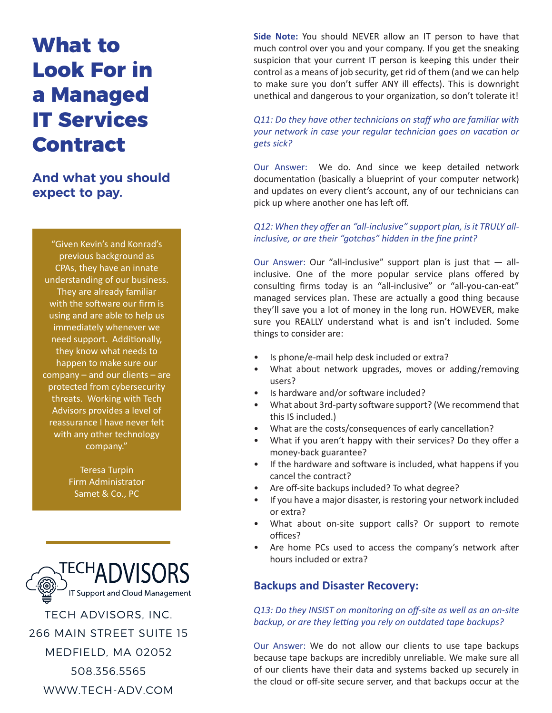# **What to Look For in a Managed IT Services Contract**

**And what you should expect to pay.**

"Given Kevin's and Konrad's previous background as CPAs, they have an innate understanding of our business. They are already familiar with the software our firm is using and are able to help us immediately whenever we need support. Additionally, they know what needs to happen to make sure our company – and our clients – are protected from cybersecurity threats. Working with Tech Advisors provides a level of reassurance I have never felt with any other technology company."

> Teresa Turpin Firm Administrator Samet & Co., PC



**Side Note:** You should NEVER allow an IT person to have that much control over you and your company. If you get the sneaking suspicion that your current IT person is keeping this under their control as a means of job security, get rid of them (and we can help to make sure you don't suffer ANY ill effects). This is downright unethical and dangerous to your organization, so don't tolerate it!

*Q11: Do they have other technicians on staff who are familiar with your network in case your regular technician goes on vacation or gets sick?*

Our Answer: We do. And since we keep detailed network documentation (basically a blueprint of your computer network) and updates on every client's account, any of our technicians can pick up where another one has left off.

#### *Q12: When they offer an "all-inclusive" support plan, is it TRULY allinclusive, or are their "gotchas" hidden in the fine print?*

Our Answer: Our "all-inclusive" support plan is just that — allinclusive. One of the more popular service plans offered by consulting firms today is an "all-inclusive" or "all-you-can-eat" managed services plan. These are actually a good thing because they'll save you a lot of money in the long run. HOWEVER, make sure you REALLY understand what is and isn't included. Some things to consider are:

- Is phone/e-mail help desk included or extra?
- What about network upgrades, moves or adding/removing users?
- Is hardware and/or software included?
- What about 3rd-party software support? (We recommend that this IS included.)
- What are the costs/consequences of early cancellation?
- What if you aren't happy with their services? Do they offer a money-back guarantee?
- If the hardware and software is included, what happens if you cancel the contract?
- Are off-site backups included? To what degree?
- If you have a major disaster, is restoring your network included or extra?
- What about on-site support calls? Or support to remote offices?
- Are home PCs used to access the company's network after hours included or extra?

### **Backups and Disaster Recovery:**

*Q13: Do they INSIST on monitoring an off-site as well as an on-site backup, or are they letting you rely on outdated tape backups?*

Our Answer: We do not allow our clients to use tape backups because tape backups are incredibly unreliable. We make sure all of our clients have their data and systems backed up securely in the cloud or off-site secure server, and that backups occur at the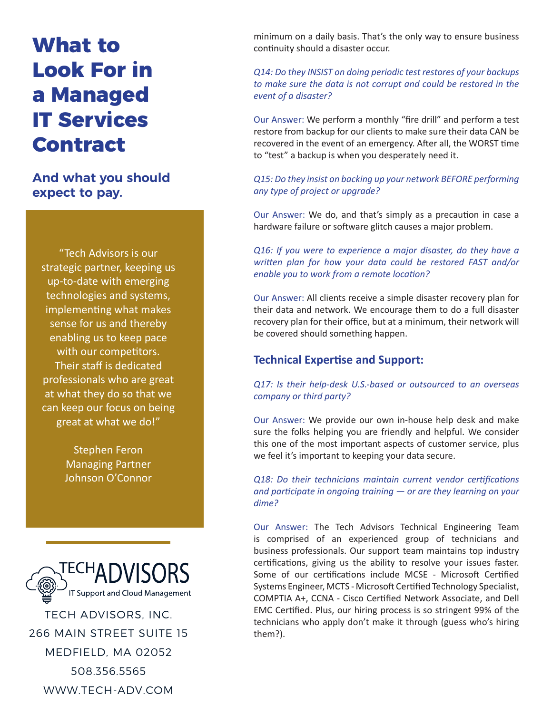# **What to Look For in a Managed IT Services Contract**

**And what you should expect to pay.**

"Tech Advisors is our strategic partner, keeping us up-to-date with emerging technologies and systems, implementing what makes sense for us and thereby enabling us to keep pace with our competitors. Their staff is dedicated professionals who are great at what they do so that we can keep our focus on being great at what we do!"

> Stephen Feron Managing Partner Johnson O'Connor



TECH ADVISORS, INC. 266 MAIN STREET SUITE 15 MEDFIELD, MA 02052 508.356.5565 WWW.TECH-ADV.COM

minimum on a daily basis. That's the only way to ensure business continuity should a disaster occur.

#### *Q14: Do they INSIST on doing periodic test restores of your backups to make sure the data is not corrupt and could be restored in the event of a disaster?*

Our Answer: We perform a monthly "fire drill" and perform a test restore from backup for our clients to make sure their data CAN be recovered in the event of an emergency. After all, the WORST time to "test" a backup is when you desperately need it.

### *Q15: Do they insist on backing up your network BEFORE performing any type of project or upgrade?*

Our Answer: We do, and that's simply as a precaution in case a hardware failure or software glitch causes a major problem.

*Q16: If you were to experience a major disaster, do they have a written plan for how your data could be restored FAST and/or enable you to work from a remote location?*

Our Answer: All clients receive a simple disaster recovery plan for their data and network. We encourage them to do a full disaster recovery plan for their office, but at a minimum, their network will be covered should something happen.

### **Technical Expertise and Support:**

#### *Q17: Is their help-desk U.S.-based or outsourced to an overseas company or third party?*

Our Answer: We provide our own in-house help desk and make sure the folks helping you are friendly and helpful. We consider this one of the most important aspects of customer service, plus we feel it's important to keeping your data secure.

*Q18: Do their technicians maintain current vendor certifications and participate in ongoing training — or are they learning on your dime?*

Our Answer: The Tech Advisors Technical Engineering Team is comprised of an experienced group of technicians and business professionals. Our support team maintains top industry certifications, giving us the ability to resolve your issues faster. Some of our certifications include MCSE - Microsoft Certified Systems Engineer, MCTS - Microsoft Certified Technology Specialist, COMPTIA A+, CCNA - Cisco Certified Network Associate, and Dell EMC Certified. Plus, our hiring process is so stringent 99% of the technicians who apply don't make it through (guess who's hiring them?).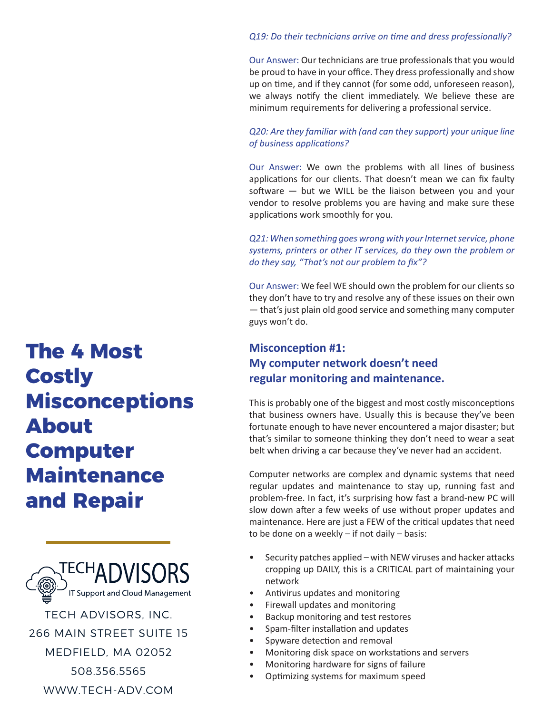#### *Q19: Do their technicians arrive on time and dress professionally?*

Our Answer: Our technicians are true professionals that you would be proud to have in your office. They dress professionally and show up on time, and if they cannot (for some odd, unforeseen reason), we always notify the client immediately. We believe these are minimum requirements for delivering a professional service.

#### *Q20: Are they familiar with (and can they support) your unique line of business applications?*

Our Answer: We own the problems with all lines of business applications for our clients. That doesn't mean we can fix faulty software — but we WILL be the liaison between you and your vendor to resolve problems you are having and make sure these applications work smoothly for you.

*Q21: When something goes wrong with your Internet service, phone systems, printers or other IT services, do they own the problem or do they say, "That's not our problem to fix"?*

Our Answer: We feel WE should own the problem for our clients so they don't have to try and resolve any of these issues on their own — that's just plain old good service and something many computer guys won't do.

### **Misconception #1: My computer network doesn't need regular monitoring and maintenance.**

This is probably one of the biggest and most costly misconceptions that business owners have. Usually this is because they've been fortunate enough to have never encountered a major disaster; but that's similar to someone thinking they don't need to wear a seat belt when driving a car because they've never had an accident.

Computer networks are complex and dynamic systems that need regular updates and maintenance to stay up, running fast and problem-free. In fact, it's surprising how fast a brand-new PC will slow down after a few weeks of use without proper updates and maintenance. Here are just a FEW of the critical updates that need to be done on a weekly – if not daily – basis:

- Security patches applied with NEW viruses and hacker attacks cropping up DAILY, this is a CRITICAL part of maintaining your network
- Antivirus updates and monitoring
- Firewall updates and monitoring
- Backup monitoring and test restores
- Spam-filter installation and updates
- Spyware detection and removal
- Monitoring disk space on workstations and servers
- Monitoring hardware for signs of failure
- Optimizing systems for maximum speed

# **The 4 Most Costly Misconceptions About Computer Maintenance and Repair**



TECH ADVISORS, INC. 266 MAIN STREET SUITE 15 MEDFIELD, MA 02052 508.356.5565 WWW.TECH-ADV.COM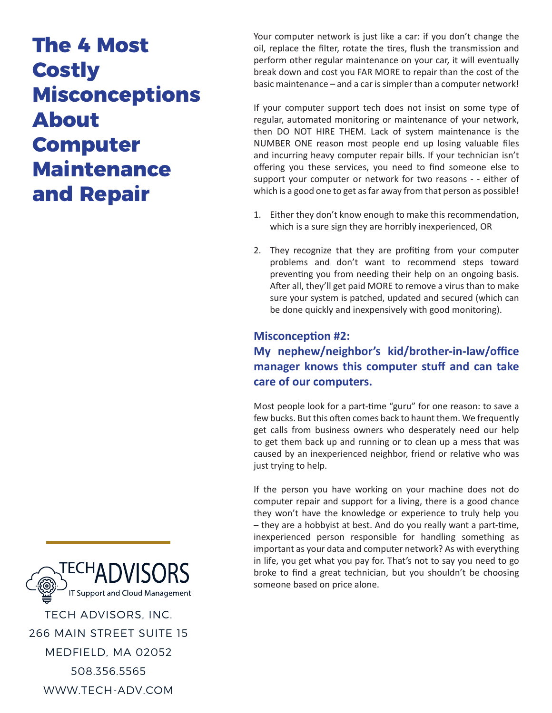## **The 4 Most Costly Misconceptions About Computer Maintenance and Repair**

Your computer network is just like a car: if you don't change the oil, replace the filter, rotate the tires, flush the transmission and perform other regular maintenance on your car, it will eventually break down and cost you FAR MORE to repair than the cost of the basic maintenance – and a car is simpler than a computer network!

If your computer support tech does not insist on some type of regular, automated monitoring or maintenance of your network, then DO NOT HIRE THEM. Lack of system maintenance is the NUMBER ONE reason most people end up losing valuable files and incurring heavy computer repair bills. If your technician isn't offering you these services, you need to find someone else to support your computer or network for two reasons - - either of which is a good one to get as far away from that person as possible!

- 1. Either they don't know enough to make this recommendation, which is a sure sign they are horribly inexperienced, OR
- 2. They recognize that they are profiting from your computer problems and don't want to recommend steps toward preventing you from needing their help on an ongoing basis. After all, they'll get paid MORE to remove a virus than to make sure your system is patched, updated and secured (which can be done quickly and inexpensively with good monitoring).

### **Misconception #2: My nephew/neighbor's kid/brother-in-law/office manager knows this computer stuff and can take care of our computers.**

Most people look for a part-time "guru" for one reason: to save a few bucks. But this often comes back to haunt them. We frequently get calls from business owners who desperately need our help to get them back up and running or to clean up a mess that was caused by an inexperienced neighbor, friend or relative who was just trying to help.

If the person you have working on your machine does not do computer repair and support for a living, there is a good chance they won't have the knowledge or experience to truly help you – they are a hobbyist at best. And do you really want a part-time, inexperienced person responsible for handling something as important as your data and computer network? As with everything in life, you get what you pay for. That's not to say you need to go broke to find a great technician, but you shouldn't be choosing someone based on price alone.

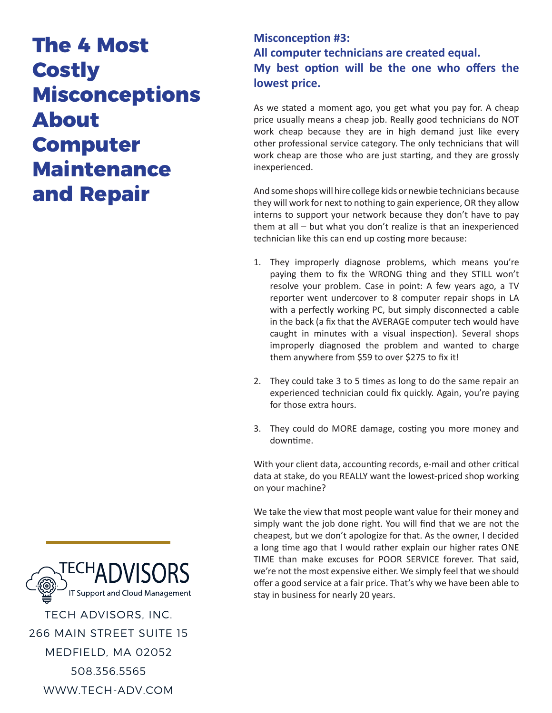## **The 4 Most Costly Misconceptions About Computer Maintenance and Repair**

### **Misconception #3: All computer technicians are created equal. My best option will be the one who offers the lowest price.**

As we stated a moment ago, you get what you pay for. A cheap price usually means a cheap job. Really good technicians do NOT work cheap because they are in high demand just like every other professional service category. The only technicians that will work cheap are those who are just starting, and they are grossly inexperienced.

And some shops will hire college kids or newbie technicians because they will work for next to nothing to gain experience, OR they allow interns to support your network because they don't have to pay them at all – but what you don't realize is that an inexperienced technician like this can end up costing more because:

- 1. They improperly diagnose problems, which means you're paying them to fix the WRONG thing and they STILL won't resolve your problem. Case in point: A few years ago, a TV reporter went undercover to 8 computer repair shops in LA with a perfectly working PC, but simply disconnected a cable in the back (a fix that the AVERAGE computer tech would have caught in minutes with a visual inspection). Several shops improperly diagnosed the problem and wanted to charge them anywhere from \$59 to over \$275 to fix it!
- 2. They could take 3 to 5 times as long to do the same repair an experienced technician could fix quickly. Again, you're paying for those extra hours.
- 3. They could do MORE damage, costing you more money and downtime.

With your client data, accounting records, e-mail and other critical data at stake, do you REALLY want the lowest-priced shop working on your machine?

We take the view that most people want value for their money and simply want the job done right. You will find that we are not the cheapest, but we don't apologize for that. As the owner, I decided a long time ago that I would rather explain our higher rates ONE TIME than make excuses for POOR SERVICE forever. That said, we're not the most expensive either. We simply feel that we should offer a good service at a fair price. That's why we have been able to stay in business for nearly 20 years.

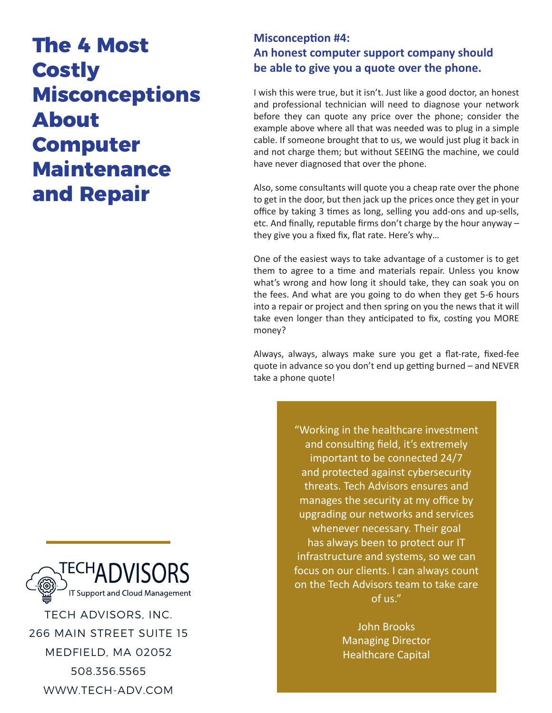## **The 4 Most Costly Misconceptions About Computer Maintenance and Repair**

### **Misconception #4: An honest computer support company should be able to give you a quote over the phone.**

I wish this were true, but it isn't. Just like a good doctor, an honest and professional technician will need to diagnose your network before they can quote any price over the phone; consider the example above where all that was needed was to plug in a simple cable. If someone brought that to us, we would just plug it back in and not charge them; but without SEEING the machine, we could have never diagnosed that over the phone.

Also, some consultants will quote you a cheap rate over the phone to get in the door, but then jack up the prices once they get in your office by taking 3 times as long, selling you add-ons and up-sells, etc. And finally, reputable firms don't charge by the hour anyway – they give you a fixed fix, flat rate. Here's why…

One of the easiest ways to take advantage of a customer is to get them to agree to a time and materials repair. Unless you know what's wrong and how long it should take, they can soak you on the fees. And what are you going to do when they get 5-6 hours into a repair or project and then spring on you the news that it will take even longer than they anticipated to fix, costing you MORE money?

Always, always, always make sure you get a flat-rate, fixed-fee quote in advance so you don't end up getting burned – and NEVER take a phone quote!

> "Working in the healthcare investment and consulting field, it's extremely important to be connected 24/7 and protected against cybersecurity threats. Tech Advisors ensures and manages the security at my office by upgrading our networks and services whenever necessary. Their goal has always been to protect our IT infrastructure and systems, so we can focus on our clients. I can always count on the Tech Advisors team to take care of us."

> > John Brooks Managing Director Healthcare Capital



TECH ADVISORS, INC. 266 MAIN STREET SUITE 15 MEDFIELD, MA 02052 508.356.5565 WWW.TECH-ADV.COM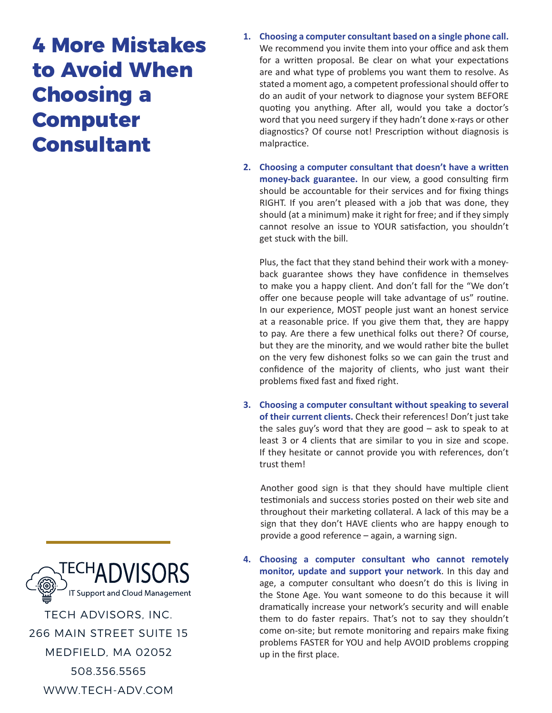# **4 More Mistakes to Avoid When Choosing a Computer Consultant**

- **1. Choosing a computer consultant based on a single phone call.**  We recommend you invite them into your office and ask them for a written proposal. Be clear on what your expectations are and what type of problems you want them to resolve. As stated a moment ago, a competent professional should offer to do an audit of your network to diagnose your system BEFORE quoting you anything. After all, would you take a doctor's word that you need surgery if they hadn't done x-rays or other diagnostics? Of course not! Prescription without diagnosis is malpractice.
- **2. Choosing a computer consultant that doesn't have a written money-back guarantee.** In our view, a good consulting firm should be accountable for their services and for fixing things RIGHT. If you aren't pleased with a job that was done, they should (at a minimum) make it right for free; and if they simply cannot resolve an issue to YOUR satisfaction, you shouldn't get stuck with the bill.

Plus, the fact that they stand behind their work with a moneyback guarantee shows they have confidence in themselves to make you a happy client. And don't fall for the "We don't offer one because people will take advantage of us" routine. In our experience, MOST people just want an honest service at a reasonable price. If you give them that, they are happy to pay. Are there a few unethical folks out there? Of course, but they are the minority, and we would rather bite the bullet on the very few dishonest folks so we can gain the trust and confidence of the majority of clients, who just want their problems fixed fast and fixed right.

**3. Choosing a computer consultant without speaking to several of their current clients.** Check their references! Don't just take the sales guy's word that they are good – ask to speak to at least 3 or 4 clients that are similar to you in size and scope. If they hesitate or cannot provide you with references, don't trust them!

Another good sign is that they should have multiple client testimonials and success stories posted on their web site and throughout their marketing collateral. A lack of this may be a sign that they don't HAVE clients who are happy enough to provide a good reference – again, a warning sign.

**4. Choosing a computer consultant who cannot remotely monitor, update and support your network**. In this day and age, a computer consultant who doesn't do this is living in the Stone Age. You want someone to do this because it will dramatically increase your network's security and will enable them to do faster repairs. That's not to say they shouldn't come on-site; but remote monitoring and repairs make fixing problems FASTER for YOU and help AVOID problems cropping up in the first place.

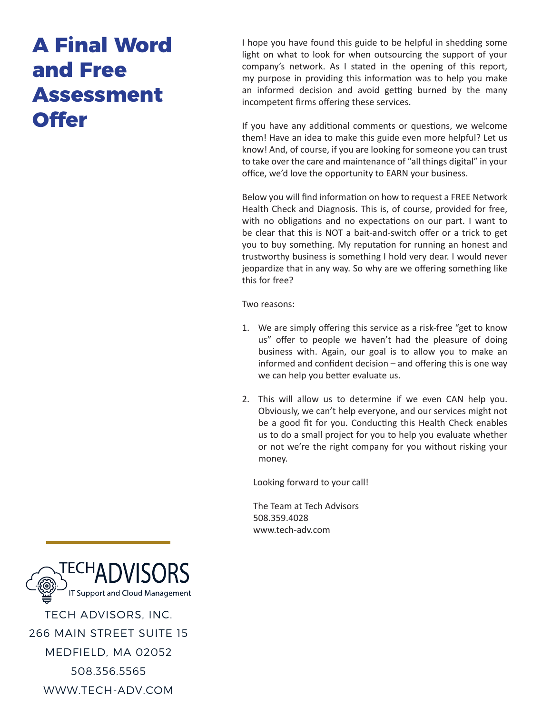# **A Final Word and Free Assessment Offer**

I hope you have found this guide to be helpful in shedding some light on what to look for when outsourcing the support of your company's network. As I stated in the opening of this report, my purpose in providing this information was to help you make an informed decision and avoid getting burned by the many incompetent firms offering these services.

If you have any additional comments or questions, we welcome them! Have an idea to make this guide even more helpful? Let us know! And, of course, if you are looking for someone you can trust to take over the care and maintenance of "all things digital" in your office, we'd love the opportunity to EARN your business.

Below you will find information on how to request a FREE Network Health Check and Diagnosis. This is, of course, provided for free, with no obligations and no expectations on our part. I want to be clear that this is NOT a bait-and-switch offer or a trick to get you to buy something. My reputation for running an honest and trustworthy business is something I hold very dear. I would never jeopardize that in any way. So why are we offering something like this for free?

Two reasons:

- 1. We are simply offering this service as a risk-free "get to know us" offer to people we haven't had the pleasure of doing business with. Again, our goal is to allow you to make an informed and confident decision – and offering this is one way we can help you better evaluate us.
- 2. This will allow us to determine if we even CAN help you. Obviously, we can't help everyone, and our services might not be a good fit for you. Conducting this Health Check enables us to do a small project for you to help you evaluate whether or not we're the right company for you without risking your money.

Looking forward to your call!

 The Team at Tech Advisors 508.359.4028 www.tech-adv.com



508.356.5565

WWW.TECH-ADV.COM